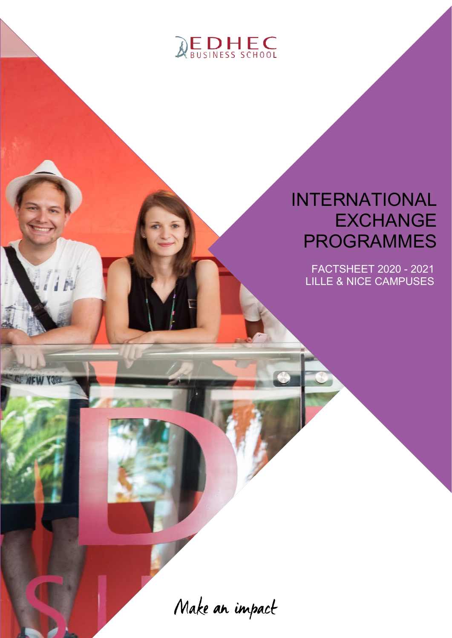

## INTERNATIONAL **EXCHANGE** PROGRAMMES

FACTSHEET 2020 - 2021 LILLE & NICE CAMPUSES

Make an impact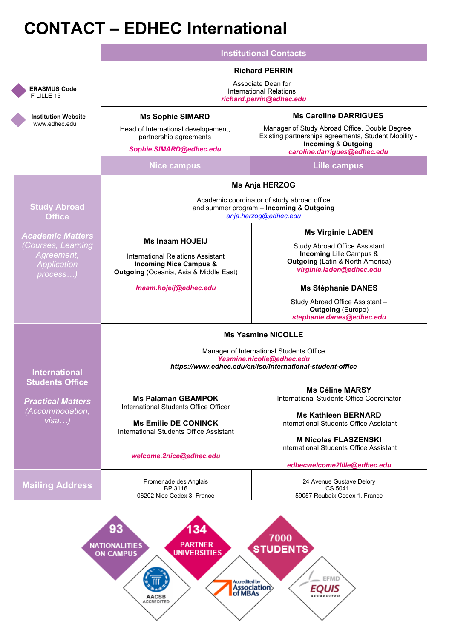## **CONTACT – EDHEC International**

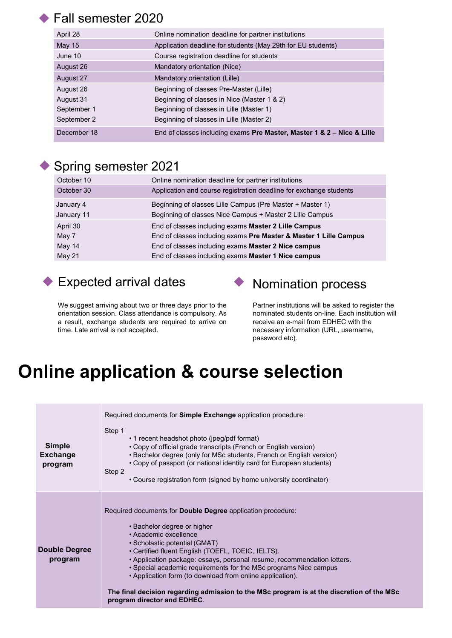### ◆ Fall semester 2020

| April 28      | Online nomination deadline for partner institutions                    |
|---------------|------------------------------------------------------------------------|
| <b>May 15</b> | Application deadline for students (May 29th for EU students)           |
| June 10       | Course registration deadline for students                              |
| August 26     | Mandatory orientation (Nice)                                           |
| August 27     | Mandatory orientation (Lille)                                          |
| August 26     | Beginning of classes Pre-Master (Lille)                                |
| August 31     | Beginning of classes in Nice (Master 1 & 2)                            |
| September 1   | Beginning of classes in Lille (Master 1)                               |
| September 2   | Beginning of classes in Lille (Master 2)                               |
| December 18   | End of classes including exams Pre Master, Master 1 & 2 - Nice & Lille |

### ◆ Spring semester 2021

| October 10                  | Online nomination deadline for partner institutions                                                                                                                                     |
|-----------------------------|-----------------------------------------------------------------------------------------------------------------------------------------------------------------------------------------|
| October 30                  | Application and course registration deadline for exchange students                                                                                                                      |
| January 4<br>January 11     | Beginning of classes Lille Campus (Pre Master + Master 1)<br>Beginning of classes Nice Campus + Master 2 Lille Campus                                                                   |
| April 30<br>May 7<br>May 14 | End of classes including exams Master 2 Lille Campus<br>End of classes including exams Pre Master & Master 1 Lille Campus<br>End of classes including exams <b>Master 2 Nice campus</b> |
| May 21                      | End of classes including exams Master 1 Nice campus                                                                                                                                     |

## ◆ Expected arrival dates → Nomination process



We suggest arriving about two or three days prior to the orientation session. Class attendance is compulsory. As a result, exchange students are required to arrive on time. Late arrival is not accepted.

Partner institutions will be asked to register the nominated students on-line. Each institution will receive an e-mail from EDHEC with the necessary information (URL, username, password etc).

## **Online application & course selection**

| <b>Simple</b><br><b>Exchange</b><br>program | Required documents for <b>Simple Exchange</b> application procedure:<br>Step 1<br>• 1 recent headshot photo (jpeg/pdf format)<br>• Copy of official grade transcripts (French or English version)<br>• Bachelor degree (only for MSc students, French or English version)<br>• Copy of passport (or national identity card for European students)<br>Step 2<br>• Course registration form (signed by home university coordinator)                                                                                                                        |
|---------------------------------------------|----------------------------------------------------------------------------------------------------------------------------------------------------------------------------------------------------------------------------------------------------------------------------------------------------------------------------------------------------------------------------------------------------------------------------------------------------------------------------------------------------------------------------------------------------------|
| Double Degree<br>program                    | Required documents for <b>Double Degree</b> application procedure:<br>• Bachelor degree or higher<br>• Academic excellence<br>· Scholastic potential (GMAT)<br>• Certified fluent English (TOEFL, TOEIC, IELTS).<br>• Application package: essays, personal resume, recommendation letters.<br>• Special academic requirements for the MSc programs Nice campus<br>• Application form (to download from online application).<br>The final decision regarding admission to the MSc program is at the discretion of the MSc<br>program director and EDHEC. |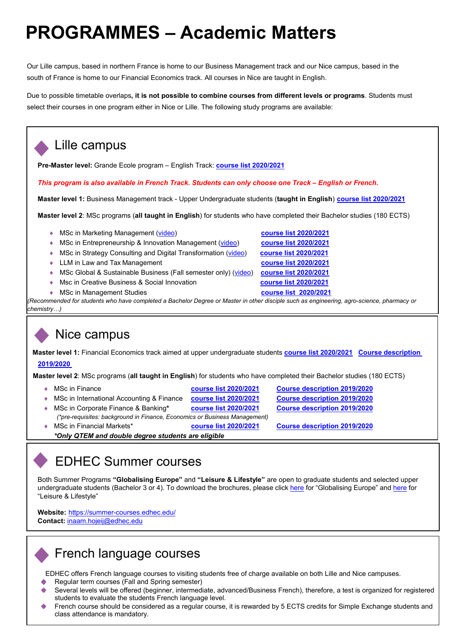## **PROGRAMMES – Academic Matters**

Our Lille campus, based in northern France is home to our Business Management track and our Nice campus, based in the south of France is home to our Financial Economics track. All courses in Nice are taught in English.

Due to possible timetable overlaps**, it is not possible to combine courses from different levels or programs**. Students must select their courses in one program either in Nice or Lille. The following study programs are available:

### Lille campus

**Pre-Master level:** Grande Ecole program – English Track: **[course list 2020/2021](https://www.edhec.edu/sites/myedhec/files/PM_BLM-book-2020-2021.pdf)**

*This program is also available in French Track. Students can only choose one Track – English or French.* 

**Master level 1:** Business Management track - Upper Undergraduate students (**taught in English**) **[course list 2020/2021](https://www.edhec.edu/sites/myedhec/files/M1_BM_book_2020-2021.pdf)**

**Master level 2**: MSc programs (**all taught in English**) for students who have completed their Bachelor studies (180 ECTS)

- ♦ MSc in Marketing Management [\(video\)](http://edhec.openveo.com/publish/video/HkjDkd2JM?lang=fr) **[course list 2020/2021](https://www.edhec.edu/sites/myedhec/files/MSc_MARKETING_book_2020-2021.pdf)**
- ♦ MSc in Entrepreneurship & Innovation Management [\(video\)](http://edhec.openveo.com/publish/video/SJueRNneG?lang=fr) **[course list](https://www.edhec.edu/sites/myedhec/files/MSc_ENTREPRENEURSHIP_book_2020-2021.pdf) 2020/2021**
- ◆ MSc in Strategy Consulting and Digital Transformation [\(video\)](http://edhec.openveo.com/publish/video/SySaGKpeM?lang=fr)
- ♦ LLM in Law and Tax Management **[course list 2020/2021](https://www.edhec.edu/sites/myedhec/files/LL.M_book_2020-2021.pdf)**
- ♦ MSc Global & Sustainable Business (Fall semester only) [\(video\)](https://vimeo.com/250447563/f9697ab44b) **[course list](https://www.edhec.edu/sites/myedhec/files/MSc_GLOBAL%26SUSTAINABLE%20BUSINESS_book_2020-2021.pdf) 2020/2021**
- ♦ Msc in Creative Business & Social Innovation **[course list 2020/2021](https://www.edhec.edu/sites/myedhec/files/MSc_CREATIVE%20BUSINESS_book_2020-2021.pdf)**
- ◆ MSc in Management Studies

 *(Recommended for students who have completed a Bachelor Degree or Master in other disciple such as engineering, agro-science, pharmacy or chemistry…)*

### Nice campus

**Master level 1:** Financial Economics track aimed at upper undergraduate students **[course list](https://www.edhec.edu/sites/myedhec/files/Master%201%20FE%202020%202021.pdf) 2020/2021 [Course description](https://www.edhec.edu/sites/myedhec/files/Book_M1_2019-2020.pdf)  [2019/2020](https://www.edhec.edu/sites/myedhec/files/Book_M1_2019-2020.pdf)**

 **Master level 2**: MSc programs (**all taught in English**) for students who have completed their Bachelor studies (180 ECTS)

- ♦ MSc in Finance **[course list 2020/2021](https://www.edhec.edu/sites/myedhec/files/Msc%20Finance%202020%202021.pdf) [Course description 2019/2020](https://www.edhec.edu/sites/myedhec/files/Book_FIN_MSc_2019-2020.pdf)**
- 
- ♦ MSc in International Accounting & Finance **[course list 2020/2021](https://my.edhec.edu/sites/myedhec/files/Msc%20International%20Accounting%20%26%20Finance.pdf) [Course description 2019/2020](https://www.edhec.edu/sites/myedhec/files/Book_IAF_MSc_2019-2020.pdf)**
- ♦ MSc in Corporate Finance & Banking**\* [course list 2020/2021](https://www.edhec.edu/sites/myedhec/files/Msc%20Corporate%20Finance%20%26%20Banking%202020%202021.pdf) [Course description 2019/2020](https://www.edhec.edu/sites/myedhec/files/doc_international/Book_CFB_MSc_2019-2020.pdf)**
- *(\*pre-requisites: background in Finance, Economics or Business Management)* ♦ MSc in Financial Markets\* **[course list 2020/2021](https://www.edhec.edu/sites/myedhec/files/Msc%20Financial%20Markets%202020%202021.pdf) [Course description 2019/2020](https://www.edhec.edu/sites/myedhec/files/Book_FMK_MSc_2019-2020.pdf)**
	-
- *\*Only QTEM and double degree students are eligible*

### EDHEC Summer courses

Both Summer Programs **"Globalising Europe"** and **"Leisure & Lifestyle"** are open to graduate students and selected upper undergraduate students (Bachelor 3 or 4). To download the brochures, please click [here](https://www.edhec.edu/sites/myedhec/files/doc_international/LeisureLifestyle_2018-2019.pdf) for "Globalising Europe" and here for "Leisure & Lifestyle"

**Website:** <https://summer-courses.edhec.edu/> **Contact:** [inaam.hojeij@edhec.edu](mailto:inaam.hojeij@edhec.edu)

### French language courses

EDHEC offers French language courses to visiting students free of charge available on both Lille and Nice campuses.

- Regular term courses (Fall and Spring semester)
- Several levels will be offered (beginner, intermediate, advanced/Business French), therefore, a test is organized for registered students to evaluate the students French language level.
- French course should be considered as a regular course, it is rewarded by 5 ECTS credits for Simple Exchange students and class attendance is mandatory.

| <u>COUISE IIST ZUZUIZUZT</u> |
|------------------------------|
| course list 2020/2021        |
| course list 2020/2021        |
| course list 2020/2021        |
| course list 2020/2021        |
| course list 2020/2021        |
| <b>course list 2020/2021</b> |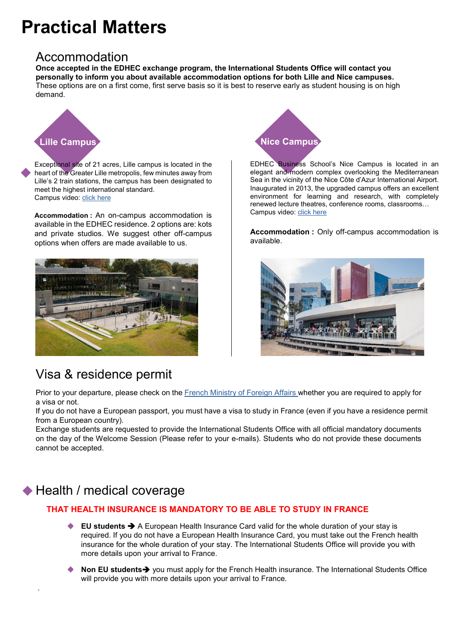## **Practical Matters**

### Accommodation

**Once accepted in the EDHEC exchange program, the International Students Office will contact you personally to inform you about available accommodation options for both Lille and Nice campuses.** These options are on a first come, first serve basis so it is best to reserve early as student housing is on high demand.



Exceptional site of 21 acres, Lille campus is located in the heart of the Greater Lille metropolis, few minutes away from Lille's 2 train stations, the campus has been designated to meet the highest international standard. Campus video: [click here](https://www.youtube.com/watch?v=fEAIxG6sPRE)

**Accommodation :** An on-campus accommodation is available in the EDHEC residence. 2 options are: kots and private studios. We suggest other off-campus options when offers are made available to us.



### Visa & residence permit



EDHEC Business School's Nice Campus is located in an elegant and modern complex overlooking the Mediterranean Sea in the vicinity of the Nice Côte d'Azur International Airport. Inaugurated in 2013, the upgraded campus offers an excellent environment for learning and research, with completely renewed lecture theatres, conference rooms, classrooms… Campus video: [click here](https://www.youtube.com/watch?v=nOdXVISBrg4)

**Accommodation :** Only off-campus accommodation is available.



Prior to your departure, please check on the [French Ministry of Foreign Affairs](https://france-visas.gouv.fr/web/france-visas/depot-et-traitement-de-la-demande) whether you are required to apply for a visa or not.

If you do not have a European passport, you must have a visa to study in France (even if you have a residence permit from a European country).

Exchange students are requested to provide the International Students Office with all official mandatory documents on the day of the Welcome Session (Please refer to your e-mails). Students who do not provide these documents cannot be accepted.

### ◆ Health / medical coverage

.

### **THAT HEALTH INSURANCE IS MANDATORY TO BE ABLE TO STUDY IN FRANCE**

- **EU students** A European Health Insurance Card valid for the whole duration of your stay is required. If you do not have a European Health Insurance Card, you must take out the French health insurance for the whole duration of your stay. The International Students Office will provide you with more details upon your arrival to France.
- **Non EU students** you must apply for the French Health insurance. The International Students Office will provide you with more details upon your arrival to France.